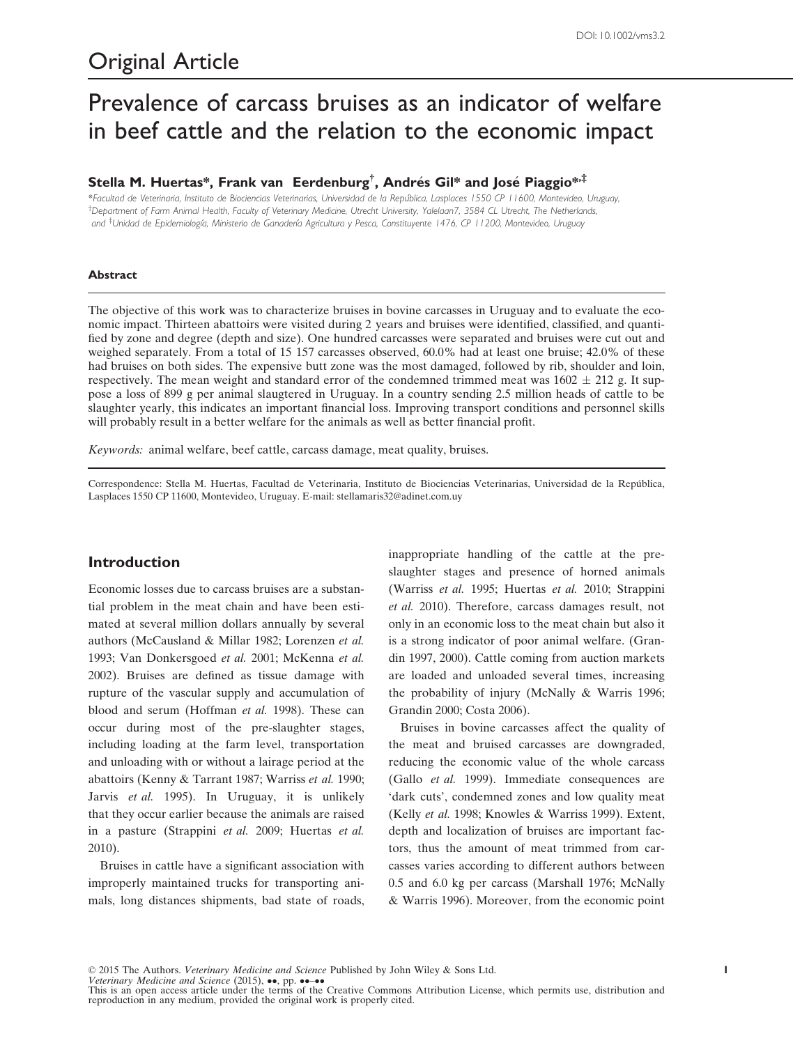# Prevalence of carcass bruises as an indicator of welfare in beef cattle and the relation to the economic impact

## Stella M. Huertas\*, Frank van Eerdenburg<sup>†</sup>, Andrés Gil\* and José Piaggio\*<sup>,‡</sup>

\*Facultad de Veterinaria, Instituto de Biociencias Veterinarias, Universidad de la Republica, Lasplaces 1550 CP 11600, Montevideo, Uruguay, † Department of Farm Animal Health, Faculty of Veterinary Medicine, Utrecht University, Yalelaan7, 3584 CL Utrecht, The Netherlands, and <sup>‡</sup>Unidad de Epidemiología, Ministerio de Ganadería Agricultura y Pesca, Constituyente 1476, CP 11200, Montevideo, Uruguay

#### Abstract

The objective of this work was to characterize bruises in bovine carcasses in Uruguay and to evaluate the economic impact. Thirteen abattoirs were visited during 2 years and bruises were identified, classified, and quantified by zone and degree (depth and size). One hundred carcasses were separated and bruises were cut out and weighed separately. From a total of 15 157 carcasses observed, 60.0% had at least one bruise; 42.0% of these had bruises on both sides. The expensive butt zone was the most damaged, followed by rib, shoulder and loin, respectively. The mean weight and standard error of the condemned trimmed meat was  $1602 \pm 212$  g. It suppose a loss of 899 g per animal slaugtered in Uruguay. In a country sending 2.5 million heads of cattle to be slaughter yearly, this indicates an important financial loss. Improving transport conditions and personnel skills will probably result in a better welfare for the animals as well as better financial profit.

Keywords: animal welfare, beef cattle, carcass damage, meat quality, bruises.

Correspondence: Stella M. Huertas, Facultad de Veterinaria, Instituto de Biociencias Veterinarias, Universidad de la Republica, Lasplaces 1550 CP 11600, Montevideo, Uruguay. E-mail: stellamaris32@adinet.com.uy

## **Introduction**

Economic losses due to carcass bruises are a substantial problem in the meat chain and have been estimated at several million dollars annually by several authors (McCausland & Millar 1982; Lorenzen et al. 1993; Van Donkersgoed et al. 2001; McKenna et al. 2002). Bruises are defined as tissue damage with rupture of the vascular supply and accumulation of blood and serum (Hoffman et al. 1998). These can occur during most of the pre-slaughter stages, including loading at the farm level, transportation and unloading with or without a lairage period at the abattoirs (Kenny & Tarrant 1987; Warriss et al. 1990; Jarvis et al. 1995). In Uruguay, it is unlikely that they occur earlier because the animals are raised in a pasture (Strappini et al. 2009; Huertas et al. 2010).

Bruises in cattle have a significant association with improperly maintained trucks for transporting animals, long distances shipments, bad state of roads,

inappropriate handling of the cattle at the preslaughter stages and presence of horned animals (Warriss et al. 1995; Huertas et al. 2010; Strappini et al. 2010). Therefore, carcass damages result, not only in an economic loss to the meat chain but also it is a strong indicator of poor animal welfare. (Grandin 1997, 2000). Cattle coming from auction markets are loaded and unloaded several times, increasing the probability of injury (McNally & Warris 1996; Grandin 2000; Costa 2006).

Bruises in bovine carcasses affect the quality of the meat and bruised carcasses are downgraded, reducing the economic value of the whole carcass (Gallo et al. 1999). Immediate consequences are 'dark cuts', condemned zones and low quality meat (Kelly et al. 1998; Knowles & Warriss 1999). Extent, depth and localization of bruises are important factors, thus the amount of meat trimmed from carcasses varies according to different authors between 0.5 and 6.0 kg per carcass (Marshall 1976; McNally & Warris 1996). Moreover, from the economic point

Veterinary Medicine and Science (2015),  $\bullet\bullet$ , pp.  $\bullet\bullet\textcolor{red}{\bullet\bullet\bullet}$ 

This is an open access article under the terms of the [Creative Commons Attribution](http://www.rimont.com) License, which permits use, distribution and reproduction in any medium, provided the original work is properly cited.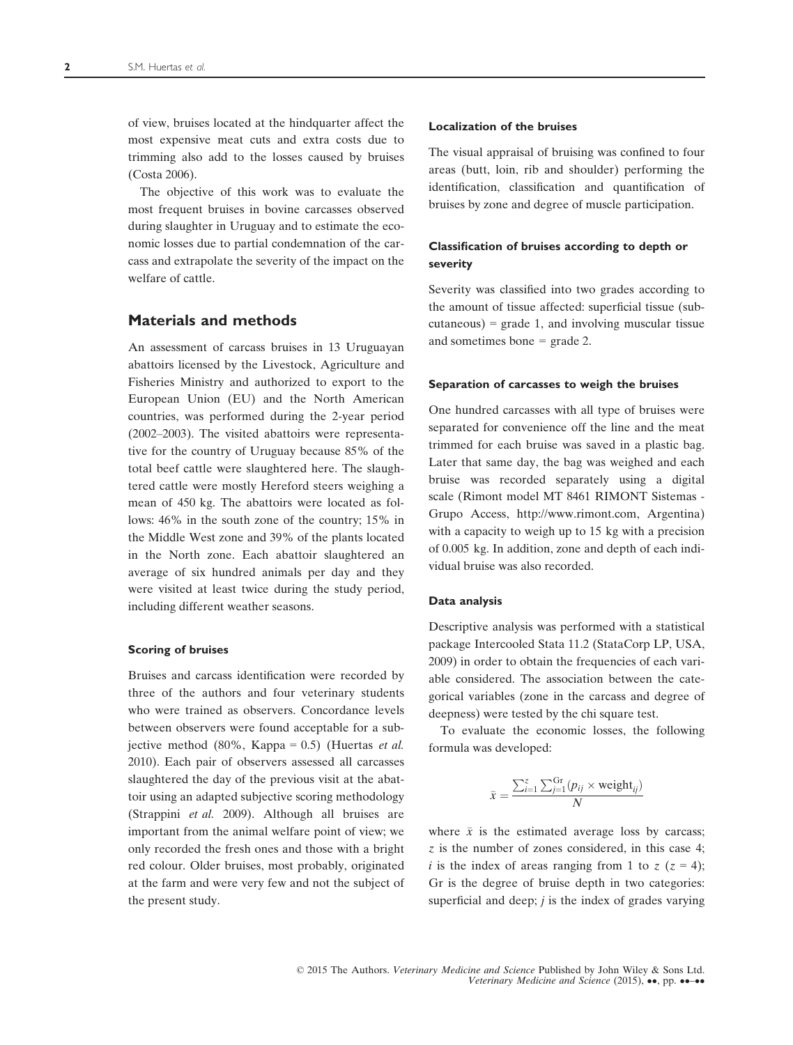of view, bruises located at the hindquarter affect the most expensive meat cuts and extra costs due to trimming also add to the losses caused by bruises (Costa 2006).

The objective of this work was to evaluate the most frequent bruises in bovine carcasses observed during slaughter in Uruguay and to estimate the economic losses due to partial condemnation of the carcass and extrapolate the severity of the impact on the welfare of cattle.

## Materials and methods

An assessment of carcass bruises in 13 Uruguayan abattoirs licensed by the Livestock, Agriculture and Fisheries Ministry and authorized to export to the European Union (EU) and the North American countries, was performed during the 2-year period (2002–2003). The visited abattoirs were representative for the country of Uruguay because 85% of the total beef cattle were slaughtered here. The slaughtered cattle were mostly Hereford steers weighing a mean of 450 kg. The abattoirs were located as follows: 46% in the south zone of the country; 15% in the Middle West zone and 39% of the plants located in the North zone. Each abattoir slaughtered an average of six hundred animals per day and they were visited at least twice during the study period, including different weather seasons.

## Scoring of bruises

Bruises and carcass identification were recorded by three of the authors and four veterinary students who were trained as observers. Concordance levels between observers were found acceptable for a subjective method  $(80\% ,$  Kappa = 0.5) (Huertas *et al.* 2010). Each pair of observers assessed all carcasses slaughtered the day of the previous visit at the abattoir using an adapted subjective scoring methodology (Strappini et al. 2009). Although all bruises are important from the animal welfare point of view; we only recorded the fresh ones and those with a bright red colour. Older bruises, most probably, originated at the farm and were very few and not the subject of the present study.

#### Localization of the bruises

The visual appraisal of bruising was confined to four areas (butt, loin, rib and shoulder) performing the identification, classification and quantification of bruises by zone and degree of muscle participation.

## Classification of bruises according to depth or severity

Severity was classified into two grades according to the amount of tissue affected: superficial tissue (sub $cutaneous) = grade 1$ , and involving muscular tissue and sometimes bone = grade 2.

#### Separation of carcasses to weigh the bruises

One hundred carcasses with all type of bruises were separated for convenience off the line and the meat trimmed for each bruise was saved in a plastic bag. Later that same day, the bag was weighed and each bruise was recorded separately using a digital scale (Rimont model MT 8461 RIMONT Sistemas - Grupo Access, [http://www.rimont.com,](http://www.rimont.com) Argentina) with a capacity to weigh up to 15 kg with a precision of 0.005 kg. In addition, zone and depth of each individual bruise was also recorded.

#### Data analysis

Descriptive analysis was performed with a statistical package Intercooled Stata 11.2 (StataCorp LP, USA, 2009) in order to obtain the frequencies of each variable considered. The association between the categorical variables (zone in the carcass and degree of deepness) were tested by the chi square test.

To evaluate the economic losses, the following formula was developed:

$$
\bar{x} = \frac{\sum_{i=1}^{z} \sum_{j=1}^{Gr} (p_{ij} \times \text{weight}_{ij})}{N}
$$

where  $\bar{x}$  is the estimated average loss by carcass; z is the number of zones considered, in this case 4; i is the index of areas ranging from 1 to  $z (z = 4)$ ; Gr is the degree of bruise depth in two categories: superficial and deep;  $j$  is the index of grades varying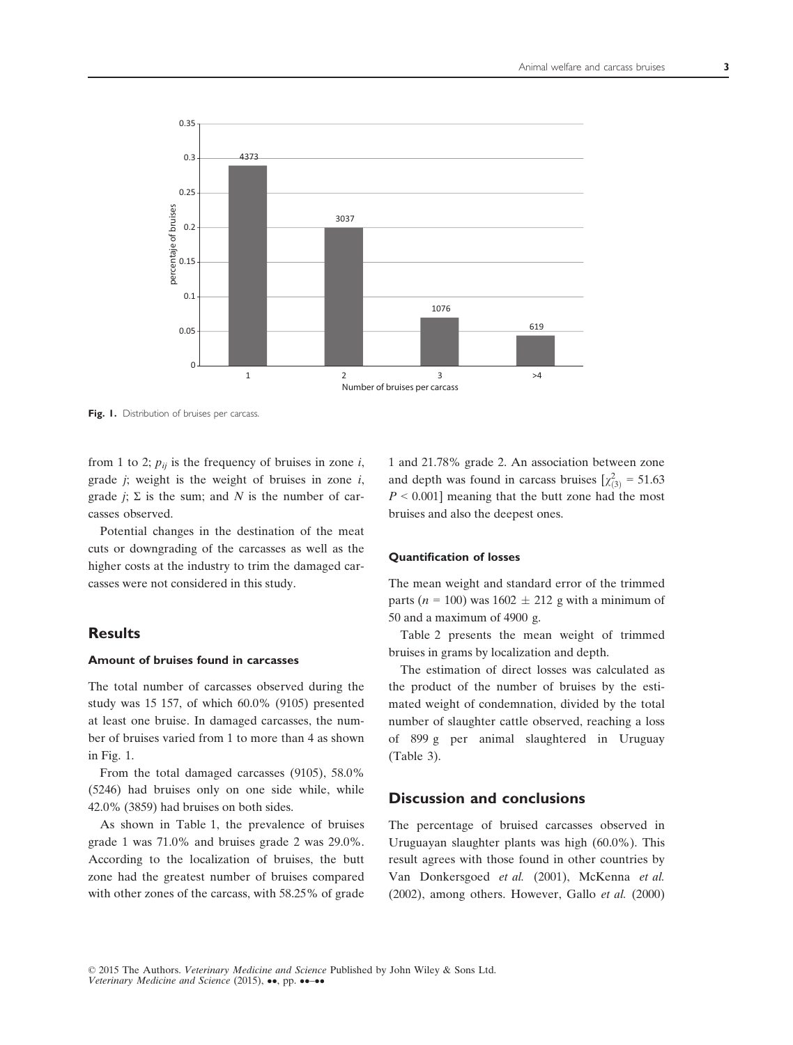

Fig. 1. Distribution of bruises per carcass.

from 1 to 2;  $p_{ii}$  is the frequency of bruises in zone *i*, grade  $j$ ; weight is the weight of bruises in zone  $i$ , grade  $j$ ;  $\Sigma$  is the sum; and N is the number of carcasses observed.

Potential changes in the destination of the meat cuts or downgrading of the carcasses as well as the higher costs at the industry to trim the damaged carcasses were not considered in this study.

## **Results**

#### Amount of bruises found in carcasses

The total number of carcasses observed during the study was 15 157, of which 60.0% (9105) presented at least one bruise. In damaged carcasses, the number of bruises varied from 1 to more than 4 as shown in Fig. 1.

From the total damaged carcasses (9105), 58.0% (5246) had bruises only on one side while, while 42.0% (3859) had bruises on both sides.

As shown in Table 1, the prevalence of bruises grade 1 was 71.0% and bruises grade 2 was 29.0%. According to the localization of bruises, the butt zone had the greatest number of bruises compared with other zones of the carcass, with 58.25% of grade 1 and 21.78% grade 2. An association between zone and depth was found in carcass bruises  $[\chi^2_{(3)} = 51.63]$  $P \le 0.001$  meaning that the butt zone had the most bruises and also the deepest ones.

## Quantification of losses

The mean weight and standard error of the trimmed parts ( $n = 100$ ) was 1602  $\pm$  212 g with a minimum of 50 and a maximum of 4900 g.

Table 2 presents the mean weight of trimmed bruises in grams by localization and depth.

The estimation of direct losses was calculated as the product of the number of bruises by the estimated weight of condemnation, divided by the total number of slaughter cattle observed, reaching a loss of 899 g per animal slaughtered in Uruguay (Table 3).

## Discussion and conclusions

The percentage of bruised carcasses observed in Uruguayan slaughter plants was high (60.0%). This result agrees with those found in other countries by Van Donkersgoed et al. (2001), McKenna et al. (2002), among others. However, Gallo et al. (2000)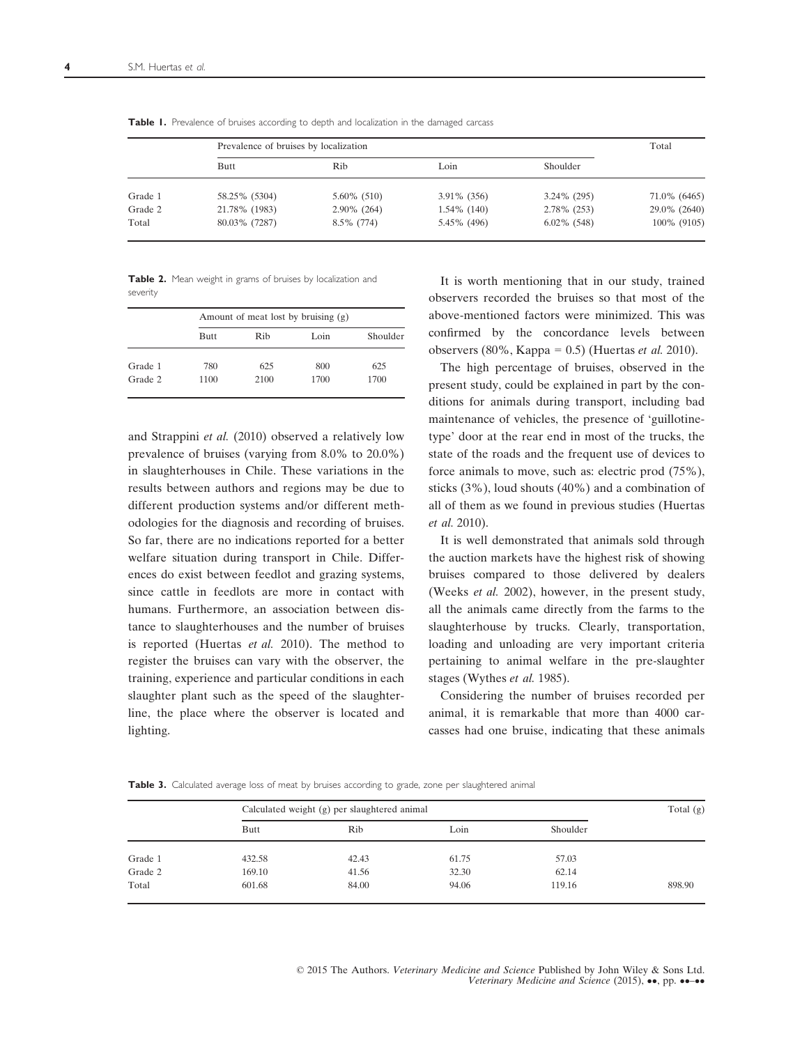|         | Prevalence of bruises by localization | Total          |                |                |              |
|---------|---------------------------------------|----------------|----------------|----------------|--------------|
|         | Butt                                  | Rib            | Loin           | Shoulder       |              |
| Grade 1 | 58.25% (5304)                         | $5.60\%$ (510) | $3.91\%$ (356) | 3.24% (295)    | 71.0% (6465) |
| Grade 2 | 21.78% (1983)                         | $2.90\%$ (264) | $1.54\%$ (140) | 2.78% (253)    | 29.0% (2640) |
| Total   | 80.03% (7287)                         | $8.5\%$ (774)  | 5.45% (496)    | $6.02\%$ (548) | 100% (9105)  |

Table 1. Prevalence of bruises according to depth and localization in the damaged carcass

Table 2. Mean weight in grams of bruises by localization and severity

|         |      | Amount of meat lost by bruising (g) |      |          |  |  |
|---------|------|-------------------------------------|------|----------|--|--|
|         | Butt | Rib                                 | Loin | Shoulder |  |  |
| Grade 1 | 780  | 625                                 | 800  | 625      |  |  |
| Grade 2 | 1100 | 2100                                | 1700 | 1700     |  |  |

and Strappini et al. (2010) observed a relatively low prevalence of bruises (varying from 8.0% to 20.0%) in slaughterhouses in Chile. These variations in the results between authors and regions may be due to different production systems and/or different methodologies for the diagnosis and recording of bruises. So far, there are no indications reported for a better welfare situation during transport in Chile. Differences do exist between feedlot and grazing systems, since cattle in feedlots are more in contact with humans. Furthermore, an association between distance to slaughterhouses and the number of bruises is reported (Huertas et al. 2010). The method to register the bruises can vary with the observer, the training, experience and particular conditions in each slaughter plant such as the speed of the slaughterline, the place where the observer is located and lighting.

It is worth mentioning that in our study, trained observers recorded the bruises so that most of the above-mentioned factors were minimized. This was confirmed by the concordance levels between observers (80%, Kappa = 0.5) (Huertas *et al.* 2010).

The high percentage of bruises, observed in the present study, could be explained in part by the conditions for animals during transport, including bad maintenance of vehicles, the presence of 'guillotinetype' door at the rear end in most of the trucks, the state of the roads and the frequent use of devices to force animals to move, such as: electric prod (75%), sticks (3%), loud shouts (40%) and a combination of all of them as we found in previous studies (Huertas et al. 2010).

It is well demonstrated that animals sold through the auction markets have the highest risk of showing bruises compared to those delivered by dealers (Weeks et al. 2002), however, in the present study, all the animals came directly from the farms to the slaughterhouse by trucks. Clearly, transportation, loading and unloading are very important criteria pertaining to animal welfare in the pre-slaughter stages (Wythes et al. 1985).

Considering the number of bruises recorded per animal, it is remarkable that more than 4000 carcasses had one bruise, indicating that these animals

Table 3. Calculated average loss of meat by bruises according to grade, zone per slaughtered animal

|         | Calculated weight (g) per slaughtered animal | Total $(g)$ |       |          |        |
|---------|----------------------------------------------|-------------|-------|----------|--------|
|         | Butt                                         | Rib         | Loin  | Shoulder |        |
| Grade 1 | 432.58                                       | 42.43       | 61.75 | 57.03    |        |
| Grade 2 | 169.10                                       | 41.56       | 32.30 | 62.14    |        |
| Total   | 601.68                                       | 84.00       | 94.06 | 119.16   | 898.90 |

© 2015 The Authors. Veterinary Medicine and Science Published by John Wiley & Sons Ltd. Veterinary Medicine and Science  $(2015)$ ,  $\bullet\bullet$ , pp.  $\bullet\bullet-\bullet\bullet$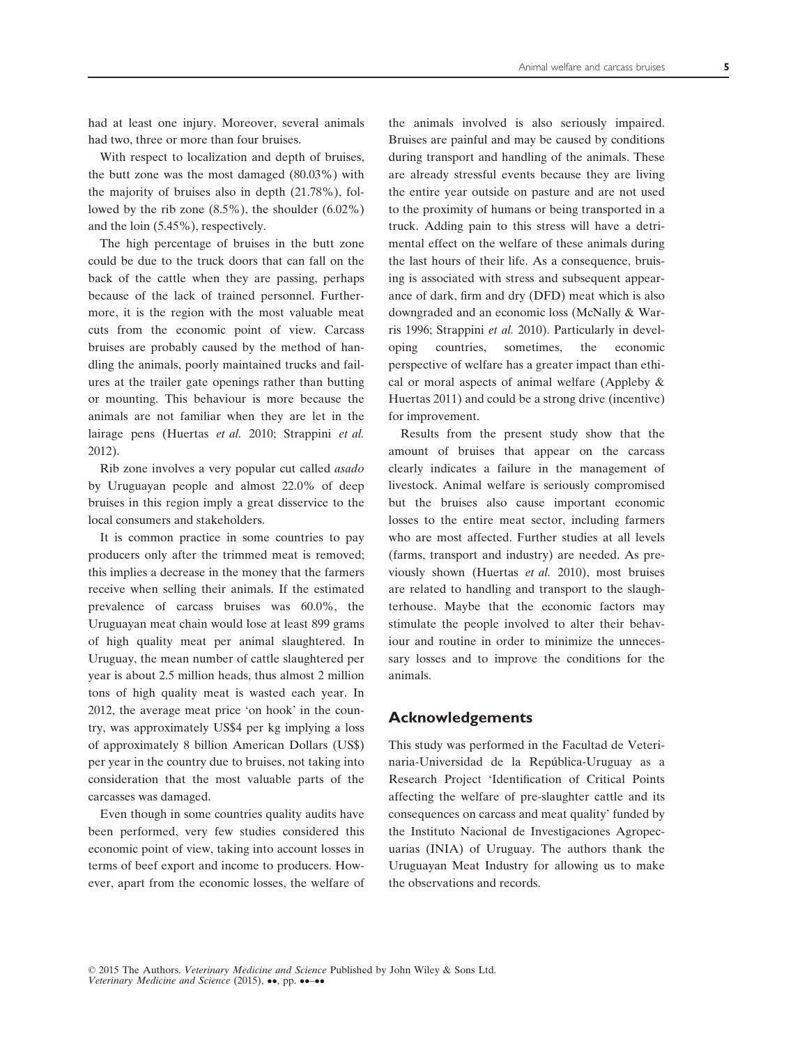had at least one injury. Moreover, several animals had two, three or more than four bruises.

With respect to localization and depth of bruises. the butt zone was the most damaged (80.03%) with the majority of bruises also in depth (21.78%), followed by the rib zone (8.5%), the shoulder (6.02%) and the loin (5.45%), respectively.

The high percentage of bruises in the butt zone could be due to the truck doors that can fall on the back of the cattle when they are passing, perhaps because of the lack of trained personnel. Furthermore, it is the region with the most valuable meat cuts from the economic point of view. Carcass bruises are probably caused by the method of handling the animals, poorly maintained trucks and failures at the trailer gate openings rather than butting or mounting. This behaviour is more because the animals are not familiar when they are let in the lairage pens (Huertas et al. 2010; Strappini et al. 2012).

Rib zone involves a very popular cut called asado by Uruguayan people and almost 22.0% of deep bruises in this region imply a great disservice to the local consumers and stakeholders.

It is common practice in some countries to pay producers only after the trimmed meat is removed; this implies a decrease in the money that the farmers receive when selling their animals. If the estimated prevalence of carcass bruises was 60.0%, the Uruguayan meat chain would lose at least 899 grams of high quality meat per animal slaughtered. In Uruguay, the mean number of cattle slaughtered per year is about 2.5 million heads, thus almost 2 million tons of high quality meat is wasted each year. In 2012, the average meat price 'on hook' in the country, was approximately US\$4 per kg implying a loss of approximately 8 billion American Dollars (US\$) per year in the country due to bruises, not taking into consideration that the most valuable parts of the carcasses was damaged.

Even though in some countries quality audits have been performed, very few studies considered this economic point of view, taking into account losses in terms of beef export and income to producers. However, apart from the economic losses, the welfare of the animals involved is also seriously impaired. Bruises are painful and may be caused by conditions during transport and handling of the animals. These are already stressful events because they are living the entire year outside on pasture and are not used to the proximity of humans or being transported in a truck. Adding pain to this stress will have a detrimental effect on the welfare of these animals during the last hours of their life. As a consequence, bruising is associated with stress and subsequent appearance of dark, firm and dry (DFD) meat which is also downgraded and an economic loss (McNally & Warris 1996; Strappini et al. 2010). Particularly in developing countries, sometimes, the economic perspective of welfare has a greater impact than ethical or moral aspects of animal welfare (Appleby & Huertas 2011) and could be a strong drive (incentive) for improvement.

Results from the present study show that the amount of bruises that appear on the carcass clearly indicates a failure in the management of livestock. Animal welfare is seriously compromised but the bruises also cause important economic losses to the entire meat sector, including farmers who are most affected. Further studies at all levels (farms, transport and industry) are needed. As previously shown (Huertas et al. 2010), most bruises are related to handling and transport to the slaughterhouse. Maybe that the economic factors may stimulate the people involved to alter their behaviour and routine in order to minimize the unnecessary losses and to improve the conditions for the animals.

## Acknowledgements

This study was performed in the Facultad de Veterinaria-Universidad de la Republica-Uruguay as a Research Project 'Identification of Critical Points affecting the welfare of pre-slaughter cattle and its consequences on carcass and meat quality' funded by the Instituto Nacional de Investigaciones Agropecuarias (INIA) of Uruguay. The authors thank the Uruguayan Meat Industry for allowing us to make the observations and records.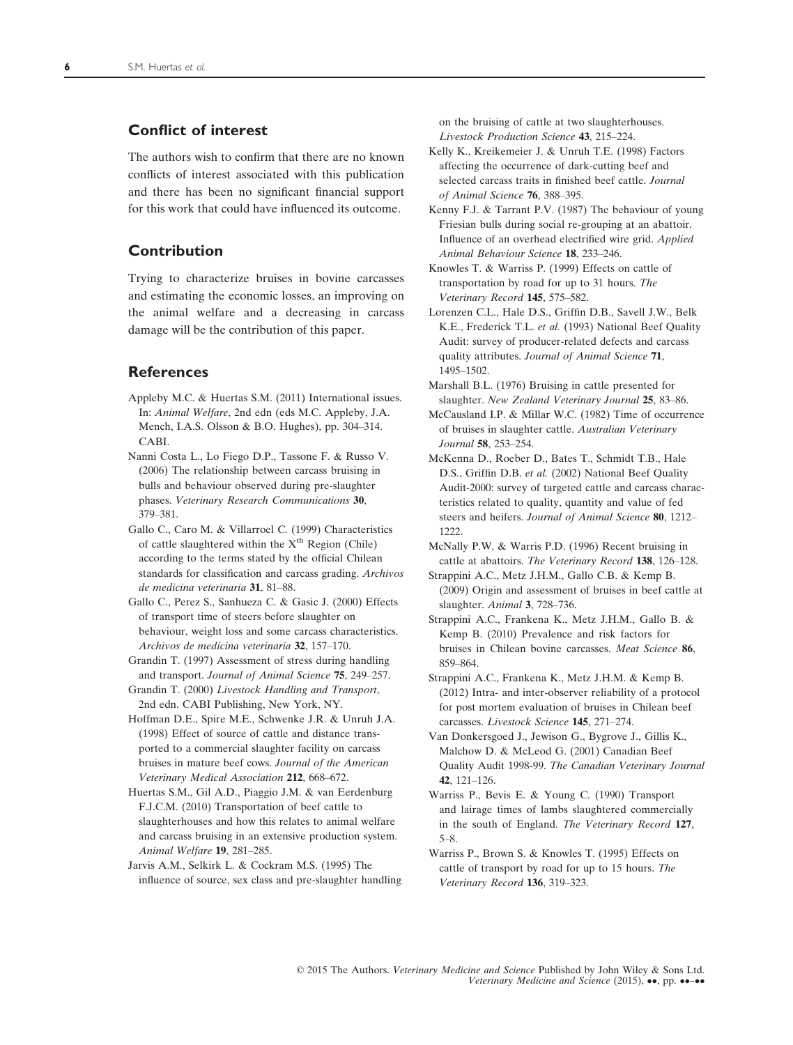## Conflict of interest

The authors wish to confirm that there are no known conflicts of interest associated with this publication and there has been no significant financial support for this work that could have influenced its outcome.

## Contribution

Trying to characterize bruises in bovine carcasses and estimating the economic losses, an improving on the animal welfare and a decreasing in carcass damage will be the contribution of this paper.

## **References**

- Appleby M.C. & Huertas S.M. (2011) International issues. In: Animal Welfare, 2nd edn (eds M.C. Appleby, J.A. Mench, I.A.S. Olsson & B.O. Hughes), pp. 304–314. CABI.
- Nanni Costa L., Lo Fiego D.P., Tassone F. & Russo V. (2006) The relationship between carcass bruising in bulls and behaviour observed during pre-slaughter phases. Veterinary Research Communications 30, 379–381.
- Gallo C., Caro M. & Villarroel C. (1999) Characteristics of cattle slaughtered within the  $X<sup>th</sup>$  Region (Chile) according to the terms stated by the official Chilean standards for classification and carcass grading. Archivos de medicina veterinaria 31, 81–88.
- Gallo C., Perez S., Sanhueza C. & Gasic J. (2000) Effects of transport time of steers before slaughter on behaviour, weight loss and some carcass characteristics. Archivos de medicina veterinaria 32, 157–170.
- Grandin T. (1997) Assessment of stress during handling and transport. Journal of Animal Science 75, 249–257.
- Grandin T. (2000) Livestock Handling and Transport, 2nd edn. CABI Publishing, New York, NY.
- Hoffman D.E., Spire M.E., Schwenke J.R. & Unruh J.A. (1998) Effect of source of cattle and distance transported to a commercial slaughter facility on carcass bruises in mature beef cows. Journal of the American Veterinary Medical Association 212, 668–672.
- Huertas S.M., Gil A.D., Piaggio J.M. & van Eerdenburg F.J.C.M. (2010) Transportation of beef cattle to slaughterhouses and how this relates to animal welfare and carcass bruising in an extensive production system. Animal Welfare 19, 281–285.
- Jarvis A.M., Selkirk L. & Cockram M.S. (1995) The influence of source, sex class and pre-slaughter handling

on the bruising of cattle at two slaughterhouses. Livestock Production Science 43, 215–224.

- Kelly K., Kreikemeier J. & Unruh T.E. (1998) Factors affecting the occurrence of dark-cutting beef and selected carcass traits in finished beef cattle. Journal of Animal Science 76, 388–395.
- Kenny F.J. & Tarrant P.V. (1987) The behaviour of young Friesian bulls during social re-grouping at an abattoir. Influence of an overhead electrified wire grid. Applied Animal Behaviour Science 18, 233–246.
- Knowles T. & Warriss P. (1999) Effects on cattle of transportation by road for up to 31 hours. The Veterinary Record 145, 575–582.
- Lorenzen C.L., Hale D.S., Griffin D.B., Savell J.W., Belk K.E., Frederick T.L. et al. (1993) National Beef Quality Audit: survey of producer-related defects and carcass quality attributes. Journal of Animal Science 71, 1495–1502.
- Marshall B.L. (1976) Bruising in cattle presented for slaughter. New Zealand Veterinary Journal 25, 83–86.
- McCausland I.P. & Millar W.C. (1982) Time of occurrence of bruises in slaughter cattle. Australian Veterinary Journal 58, 253–254.
- McKenna D., Roeber D., Bates T., Schmidt T.B., Hale D.S., Griffin D.B. et al. (2002) National Beef Quality Audit-2000: survey of targeted cattle and carcass characteristics related to quality, quantity and value of fed steers and heifers. Journal of Animal Science 80, 1212-1222.
- McNally P.W. & Warris P.D. (1996) Recent bruising in cattle at abattoirs. The Veterinary Record 138, 126–128.
- Strappini A.C., Metz J.H.M., Gallo C.B. & Kemp B. (2009) Origin and assessment of bruises in beef cattle at slaughter. Animal 3, 728–736.
- Strappini A.C., Frankena K., Metz J.H.M., Gallo B. & Kemp B. (2010) Prevalence and risk factors for bruises in Chilean bovine carcasses. Meat Science 86, 859–864.
- Strappini A.C., Frankena K., Metz J.H.M. & Kemp B. (2012) Intra- and inter-observer reliability of a protocol for post mortem evaluation of bruises in Chilean beef carcasses. Livestock Science 145, 271–274.
- Van Donkersgoed J., Jewison G., Bygrove J., Gillis K., Malchow D. & McLeod G. (2001) Canadian Beef Quality Audit 1998-99. The Canadian Veterinary Journal 42, 121–126.
- Warriss P., Bevis E. & Young C. (1990) Transport and lairage times of lambs slaughtered commercially in the south of England. The Veterinary Record 127, 5–8.
- Warriss P., Brown S. & Knowles T. (1995) Effects on cattle of transport by road for up to 15 hours. The Veterinary Record 136, 319–323.